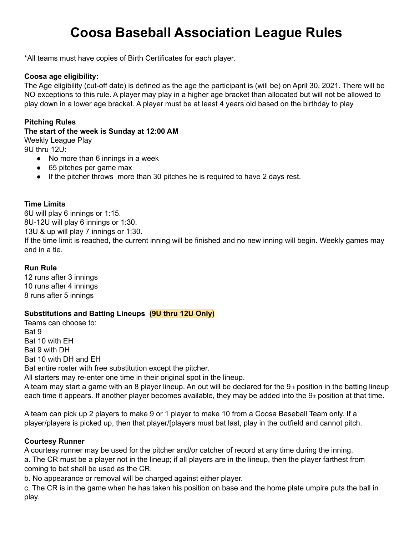# **Coosa Baseball Association League Rules**

\*All teams must have copies of Birth Certificates for each player.

# **Coosa age eligibility:**

The Age eligibility (cut-off date) is defined as the age the participant is (will be) on April 30, 2021. There will be NO exceptions to this rule. A player may play in a higher age bracket than allocated but will not be allowed to play down in a lower age bracket. A player must be at least 4 years old based on the birthday to play

# **Pitching Rules**

#### **The start of the week is Sunday at 12:00 AM** Weekly League Play

9U thru 12U:

- No more than 6 innings in a week
- 65 pitches per game max
- If the pitcher throws more than 30 pitches he is required to have 2 days rest.

# **Time Limits**

6U will play 6 innings or 1:15. 8U-12U will play 6 innings or 1:30. 13U & up will play 7 innings or 1:30. If the time limit is reached, the current inning will be finished and no new inning will begin. Weekly games may end in a tie.

### **Run Rule**

12 runs after 3 innings 10 runs after 4 innings 8 runs after 5 innings

# **Substitutions and Batting Lineups (9U thru 12U Only)**

Teams can choose to: Bat 9 Bat 10 with EH Bat 9 with DH Bat 10 with DH and EH Bat entire roster with free substitution except the pitcher. All starters may re-enter one time in their original spot in the lineup.

A team may start a game with an 8 player lineup. An out will be declared for the 9th position in the batting lineup each time it appears. If another player becomes available, they may be added into the  $9<sub>th</sub>$  position at that time.

A team can pick up 2 players to make 9 or 1 player to make 10 from a Coosa Baseball Team only. If a player/players is picked up, then that player/[players must bat last, play in the outfield and cannot pitch.

# **Courtesy Runner**

A courtesy runner may be used for the pitcher and/or catcher of record at any time during the inning. a. The CR must be a player not in the lineup; if all players are in the lineup, then the player farthest from coming to bat shall be used as the CR.

b. No appearance or removal will be charged against either player.

c. The CR is in the game when he has taken his position on base and the home plate umpire puts the ball in play.